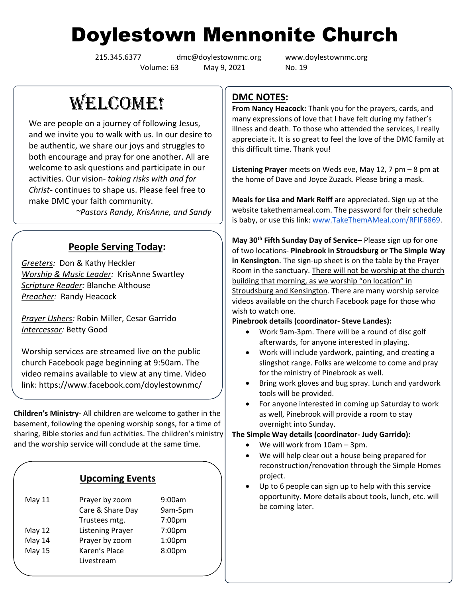# Doylestown Mennonite Church

Volume: 63 May 9, 2021 No. 19

215.345.6377 [dmc@doylestownmc.org](mailto:dmc@doylestownmc.org) www.doylestownmc.org

WELCOME!

We are people on a journey of following Jesus, and we invite you to walk with us. In our desire to be authentic, we share our joys and struggles to both encourage and pray for one another. All are welcome to ask questions and participate in our activities. Our vision- *taking risks with and for Christ*- continues to shape us. Please feel free to make DMC your faith community.

 *~Pastors Randy, KrisAnne, and Sandy*

# **People Serving Today:**

*Greeters:* Don & Kathy Heckler *Worship & Music Leader:* KrisAnne Swartley *Scripture Reader:* Blanche Althouse *Preacher:* Randy Heacock

*Prayer Ushers:* Robin Miller, Cesar Garrido *Intercessor:* Betty Good

Worship services are streamed live on the public church Facebook page beginning at 9:50am. The video remains available to view at any time. Video link: <https://www.facebook.com/doylestownmc/>

**Children's Ministry-** All children are welcome to gather in the basement, following the opening worship songs, for a time of sharing, Bible stories and fun activities. The children's ministry and the worship service will conclude at the same time.

## **Upcoming Events**

| May 11 | Prayer by zoom          | 9:00am             |
|--------|-------------------------|--------------------|
|        | Care & Share Day        | 9am-5pm            |
|        | Trustees mtg.           | 7:00pm             |
| May 12 | <b>Listening Prayer</b> | 7:00pm             |
| May 14 | Prayer by zoom          | 1:00 <sub>pm</sub> |
| May 15 | Karen's Place           | 8:00pm             |
|        | Livestream              |                    |

# **DMC NOTES:**

**From Nancy Heacock:** Thank you for the prayers, cards, and many expressions of love that I have felt during my father's illness and death. To those who attended the services, I really appreciate it. It is so great to feel the love of the DMC family at this difficult time. Thank you!

**Listening Prayer** meets on Weds eve, May 12, 7 pm – 8 pm at the home of Dave and Joyce Zuzack. Please bring a mask.

**Meals for Lisa and Mark Reiff** are appreciated. Sign up at the website takethemameal.com. The password for their schedule is baby, or use this link: [www.TakeThemAMeal.com/RFIF6869.](http://mailurl.takethemameal.com/ls/click?upn=SLhwL-2FYuz2t-2BQr1eJpl4Mj-2BxVO2ONXLeYuQnY80bsyDECzXvpXna-2FW2Uisr6itepicVv_p13zEZtLfv7THKXVId2NNJEnE-2BuczkuAcMrA3m7SP-2Fe5iD50h5tiQ6B92TAxSNiYbFUtPGMHcefkZIuLqXCA2sYeT6jxLki4XSvHGpJleuUoWWwXyZ6szEtkT4ERXfhsnfOkZxaijJZPMfeTGloZivGIp4khXwm3np4TYO2GRiBHUyxG2qDnkzAHTi-2FU9cXfni443e6aXkz8YOVdDNabUE9ETpjo5rjLNH2PON3HTh7KwR8uLB7LrTjjyfZHcnhNt-2FoZHIUwAg-2Fk1-2Bu-2BhsH9PA-3D-3D)

**May 30th Fifth Sunday Day of Service–** Please sign up for one of two locations- **Pinebrook in Stroudsburg or The Simple Way in Kensington**. The sign-up sheet is on the table by the Prayer Room in the sanctuary. There will not be worship at the church building that morning, as we worship "on location" in Stroudsburg and Kensington. There are many worship service videos available on the church Facebook page for those who wish to watch one.

## **Pinebrook details (coordinator- Steve Landes):**

- Work 9am-3pm. There will be a round of disc golf afterwards, for anyone interested in playing.
- Work will include yardwork, painting, and creating a slingshot range. Folks are welcome to come and pray for the ministry of Pinebrook as well.
- Bring work gloves and bug spray. Lunch and yardwork tools will be provided.
- For anyone interested in coming up Saturday to work as well, Pinebrook will provide a room to stay overnight into Sunday.

## **The Simple Way details (coordinator- Judy Garrido):**

- We will work from 10am 3pm.
- We will help clear out a house being prepared for reconstruction/renovation through the Simple Homes project.
- Up to 6 people can sign up to help with this service opportunity. More details about tools, lunch, etc. will be coming later.